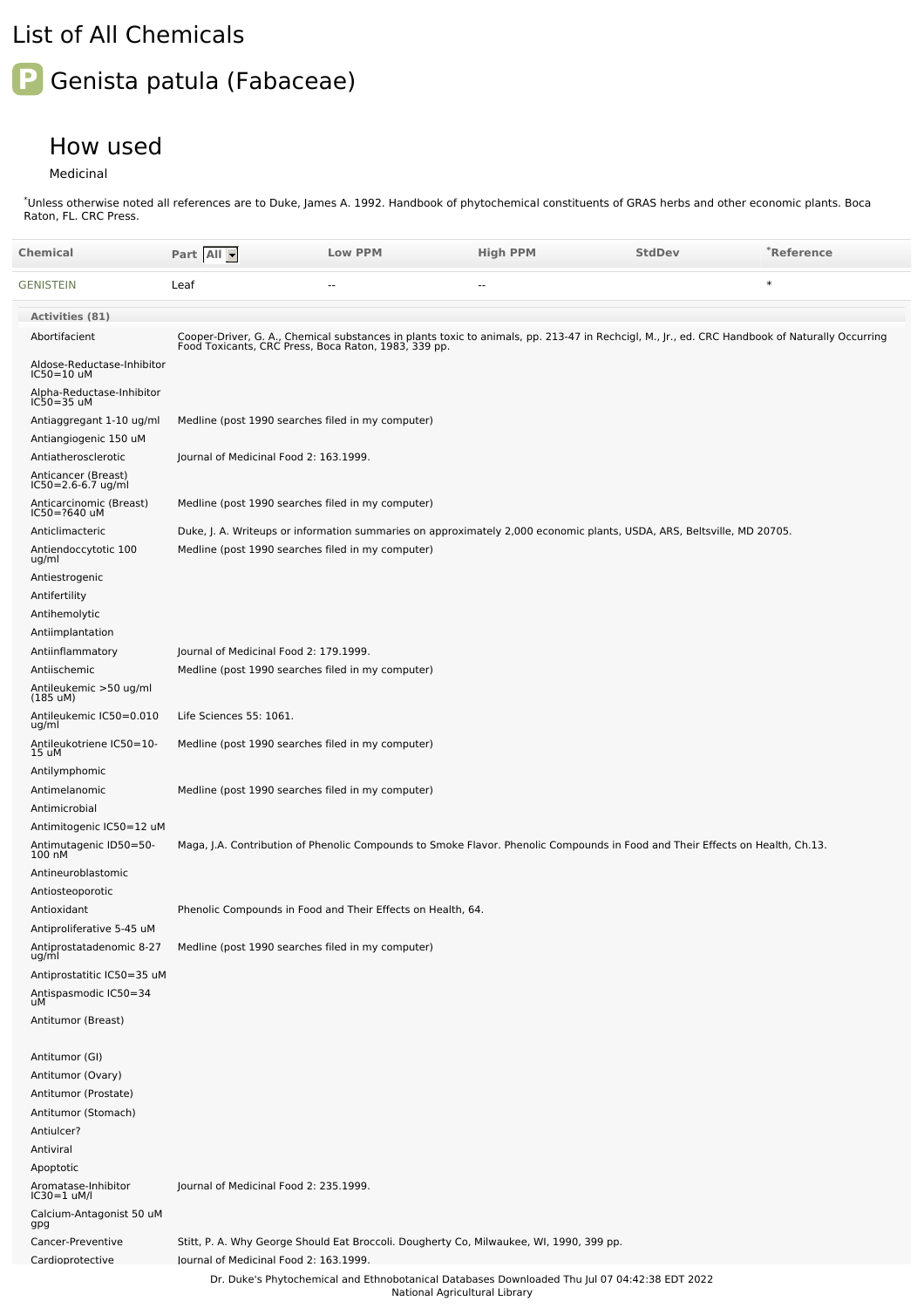## List of All Chemicals

## **P** Genista patula (Fabaceae)

## How used

Medicinal

Unless otherwise noted all references are to Duke, James A. 1992. Handbook of phytochemical constituents of GRAS herbs and other economic plants. Boca Raton, FL. CRC Press. \*

| Chemical                                          | Part All -                                                                                                             | <b>Low PPM</b>                                              | <b>High PPM</b>                                                                                                                                                                                        | <b>StdDev</b> | *Reference |
|---------------------------------------------------|------------------------------------------------------------------------------------------------------------------------|-------------------------------------------------------------|--------------------------------------------------------------------------------------------------------------------------------------------------------------------------------------------------------|---------------|------------|
| GENISTEIN                                         | Leaf                                                                                                                   | ٠.                                                          | ٠.                                                                                                                                                                                                     |               | $\ast$     |
| <b>Activities (81)</b>                            |                                                                                                                        |                                                             |                                                                                                                                                                                                        |               |            |
| Abortifacient                                     |                                                                                                                        |                                                             | Cooper-Driver, G. A., Chemical substances in plants toxic to animals, pp. 213-47 in Rechcigl, M., Jr., ed. CRC Handbook of Naturally Occurring<br>Food Toxicants, CRC Press, Boca Raton, 1983, 339 pp. |               |            |
| Aldose-Reductase-Inhibitor<br>IC50=10 uM          |                                                                                                                        |                                                             |                                                                                                                                                                                                        |               |            |
| Alpha-Reductase-Inhibitor<br>IC50=35 uM           |                                                                                                                        |                                                             |                                                                                                                                                                                                        |               |            |
| Antiaggregant 1-10 ug/ml<br>Antiangiogenic 150 uM | Medline (post 1990 searches filed in my computer)                                                                      |                                                             |                                                                                                                                                                                                        |               |            |
| Antiatherosclerotic                               | Journal of Medicinal Food 2: 163.1999.                                                                                 |                                                             |                                                                                                                                                                                                        |               |            |
| Anticancer (Breast)<br>IC50=2.6-6.7 ug/ml         |                                                                                                                        |                                                             |                                                                                                                                                                                                        |               |            |
| Anticarcinomic (Breast)<br>IC50=?640 uM           | Medline (post 1990 searches filed in my computer)                                                                      |                                                             |                                                                                                                                                                                                        |               |            |
| Anticlimacteric                                   | Duke, J. A. Writeups or information summaries on approximately 2,000 economic plants, USDA, ARS, Beltsville, MD 20705. |                                                             |                                                                                                                                                                                                        |               |            |
| Antiendoccytotic 100<br>ug/ml                     | Medline (post 1990 searches filed in my computer)                                                                      |                                                             |                                                                                                                                                                                                        |               |            |
| Antiestrogenic                                    |                                                                                                                        |                                                             |                                                                                                                                                                                                        |               |            |
| Antifertility                                     |                                                                                                                        |                                                             |                                                                                                                                                                                                        |               |            |
| Antihemolytic<br>Antiimplantation                 |                                                                                                                        |                                                             |                                                                                                                                                                                                        |               |            |
| Antiinflammatory                                  | Journal of Medicinal Food 2: 179.1999.                                                                                 |                                                             |                                                                                                                                                                                                        |               |            |
| Antiischemic                                      | Medline (post 1990 searches filed in my computer)                                                                      |                                                             |                                                                                                                                                                                                        |               |            |
| Antileukemic >50 ug/ml<br>$(185 \text{ uM})$      |                                                                                                                        |                                                             |                                                                                                                                                                                                        |               |            |
| Antileukemic IC50=0.010<br>ug/ml                  | Life Sciences 55: 1061.                                                                                                |                                                             |                                                                                                                                                                                                        |               |            |
| Antileukotriene IC50=10-<br>15 uM                 | Medline (post 1990 searches filed in my computer)                                                                      |                                                             |                                                                                                                                                                                                        |               |            |
| Antilymphomic                                     |                                                                                                                        |                                                             |                                                                                                                                                                                                        |               |            |
| Antimelanomic                                     | Medline (post 1990 searches filed in my computer)                                                                      |                                                             |                                                                                                                                                                                                        |               |            |
| Antimicrobial                                     |                                                                                                                        |                                                             |                                                                                                                                                                                                        |               |            |
| Antimitogenic IC50=12 uM                          |                                                                                                                        |                                                             |                                                                                                                                                                                                        |               |            |
| Antimutagenic ID50=50-<br>100 nM                  |                                                                                                                        |                                                             | Maga, J.A. Contribution of Phenolic Compounds to Smoke Flavor. Phenolic Compounds in Food and Their Effects on Health, Ch.13.                                                                          |               |            |
| Antineuroblastomic                                |                                                                                                                        |                                                             |                                                                                                                                                                                                        |               |            |
| Antiosteoporotic<br>Antioxidant                   |                                                                                                                        | Phenolic Compounds in Food and Their Effects on Health, 64. |                                                                                                                                                                                                        |               |            |
| Antiproliferative 5-45 uM                         |                                                                                                                        |                                                             |                                                                                                                                                                                                        |               |            |
| Antiprostatadenomic 8-27<br>ug/ml                 | Medline (post 1990 searches filed in my computer)                                                                      |                                                             |                                                                                                                                                                                                        |               |            |
| Antiprostatitic IC50=35 uM                        |                                                                                                                        |                                                             |                                                                                                                                                                                                        |               |            |
| Antispasmodic IC50=34                             |                                                                                                                        |                                                             |                                                                                                                                                                                                        |               |            |
| uМ<br>Antitumor (Breast)                          |                                                                                                                        |                                                             |                                                                                                                                                                                                        |               |            |
| Antitumor (GI)                                    |                                                                                                                        |                                                             |                                                                                                                                                                                                        |               |            |
| Antitumor (Ovary)                                 |                                                                                                                        |                                                             |                                                                                                                                                                                                        |               |            |
| Antitumor (Prostate)                              |                                                                                                                        |                                                             |                                                                                                                                                                                                        |               |            |
| Antitumor (Stomach)                               |                                                                                                                        |                                                             |                                                                                                                                                                                                        |               |            |
| Antiulcer?                                        |                                                                                                                        |                                                             |                                                                                                                                                                                                        |               |            |
| Antiviral                                         |                                                                                                                        |                                                             |                                                                                                                                                                                                        |               |            |
| Apoptotic                                         |                                                                                                                        |                                                             |                                                                                                                                                                                                        |               |            |
| Aromatase-Inhibitor<br>IC30=1 uM/l                | Journal of Medicinal Food 2: 235.1999.                                                                                 |                                                             |                                                                                                                                                                                                        |               |            |
| Calcium-Antagonist 50 uM<br>gpg                   |                                                                                                                        |                                                             |                                                                                                                                                                                                        |               |            |
| Cancer-Preventive                                 |                                                                                                                        |                                                             | Stitt, P. A. Why George Should Eat Broccoli. Dougherty Co, Milwaukee, WI, 1990, 399 pp.                                                                                                                |               |            |
| Cardioprotective                                  | lournal of Medicinal Food 2: 163.1999.                                                                                 |                                                             |                                                                                                                                                                                                        |               |            |
|                                                   |                                                                                                                        | National Agricultural Library                               | Dr. Duke's Phytochemical and Ethnobotanical Databases Downloaded Thu Jul 07 04:42:38 EDT 2022                                                                                                          |               |            |